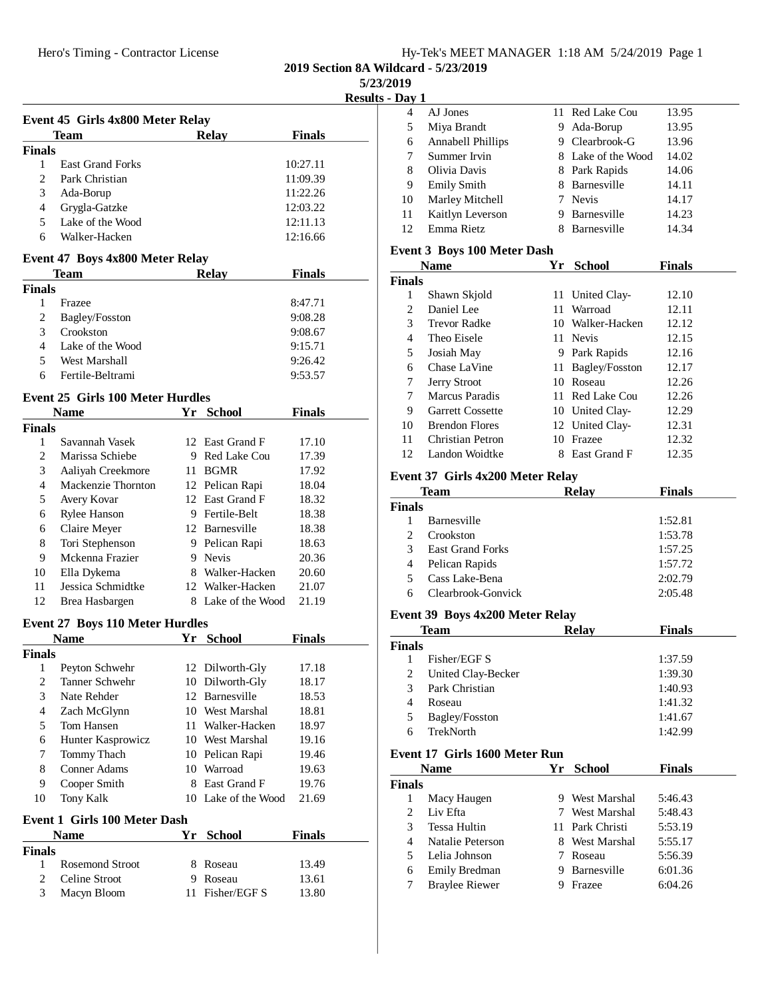| Hy-Tek's MEET MANAGER 1:18 AM 5/24/2019 Page 1 |  |  |  |
|------------------------------------------------|--|--|--|
|------------------------------------------------|--|--|--|

**2019 Section 8A Wildcard - 5/23/2019**

**5/23/2019**

**Results - Day 1**

|                |                                         |    |                     | KGulto - L    |  |
|----------------|-----------------------------------------|----|---------------------|---------------|--|
|                | Event 45 Girls 4x800 Meter Relay        |    |                     |               |  |
|                | Team                                    |    | <b>Relay</b>        | <b>Finals</b> |  |
| <b>Finals</b>  |                                         |    |                     |               |  |
| 1              | <b>East Grand Forks</b>                 |    |                     | 10:27.11      |  |
| $\overline{c}$ | Park Christian                          |    |                     | 11:09.39      |  |
| 3              | Ada-Borup                               |    |                     | 11:22.26      |  |
| $\overline{4}$ | Grygla-Gatzke                           |    |                     | 12:03.22      |  |
| 5              | Lake of the Wood                        |    |                     | 12:11.13      |  |
| 6              | Walker-Hacken                           |    |                     | 12:16.66      |  |
|                | Event 47 Boys 4x800 Meter Relay         |    |                     |               |  |
|                | <b>Team</b>                             |    | <b>Relay</b>        | <b>Finals</b> |  |
| <b>Finals</b>  |                                         |    |                     |               |  |
| 1              | Frazee                                  |    |                     | 8:47.71       |  |
| 2              | Bagley/Fosston                          |    |                     | 9:08.28       |  |
| 3              | Crookston                               |    |                     | 9:08.67       |  |
| 4              | Lake of the Wood                        |    |                     | 9:15.71       |  |
| 5              | West Marshall                           |    |                     | 9:26.42       |  |
| 6              | Fertile-Beltrami                        |    |                     | 9:53.57       |  |
|                | <b>Event 25 Girls 100 Meter Hurdles</b> |    |                     |               |  |
|                | <b>Name</b>                             |    | Yr School           | <b>Finals</b> |  |
| <b>Finals</b>  |                                         |    |                     |               |  |
| 1              | Savannah Vasek                          |    | 12 East Grand F     | 17.10         |  |
| 2              | Marissa Schiebe                         |    | 9 Red Lake Cou      | 17.39         |  |
| 3              | Aaliyah Creekmore                       |    | 11 BGMR             | 17.92         |  |
| $\overline{4}$ | Mackenzie Thornton                      |    | 12 Pelican Rapi     | 18.04         |  |
| 5              | Avery Kovar                             |    | 12 East Grand F     | 18.32         |  |
| 6              | Rylee Hanson                            |    | 9 Fertile-Belt      | 18.38         |  |
| 6              | Claire Meyer                            |    | 12 Barnesville      | 18.38         |  |
| 8              | Tori Stephenson                         |    | 9 Pelican Rapi      | 18.63         |  |
| 9              | Mckenna Frazier                         |    | 9 Nevis             | 20.36         |  |
| 10             | Ella Dykema                             |    | 8 Walker-Hacken     | 20.60         |  |
| 11             | Jessica Schmidtke                       |    | 12 Walker-Hacken    | 21.07         |  |
| 12             | Brea Hasbargen                          |    | 8 Lake of the Wood  | 21.19         |  |
|                | <b>Event 27 Boys 110 Meter Hurdles</b>  |    |                     |               |  |
|                | <b>Name</b>                             |    | Yr School           | <b>Finals</b> |  |
| <b>Finals</b>  |                                         |    |                     |               |  |
| $\mathbf{1}$   | Peyton Schwehr                          |    | 12 Dilworth-Gly     | 17.18         |  |
| 2              | Tanner Schwehr                          |    | 10 Dilworth-Gly     | 18.17         |  |
| 3              | Nate Rehder                             |    | 12 Barnesville      | 18.53         |  |
| $\overline{4}$ | Zach McGlynn                            |    | 10 West Marshal     | 18.81         |  |
| 5              | Tom Hansen                              | 11 | Walker-Hacken       | 18.97         |  |
| 6              | Hunter Kasprowicz                       |    | 10 West Marshal     | 19.16         |  |
| 7              | Tommy Thach                             |    | 10 Pelican Rapi     | 19.46         |  |
| 8              | <b>Conner Adams</b>                     |    | 10 Warroad          | 19.63         |  |
| 9              | Cooper Smith                            |    | 8 East Grand F      | 19.76         |  |
| 10             | <b>Tony Kalk</b>                        |    | 10 Lake of the Wood | 21.69         |  |
|                | <b>Event 1 Girls 100 Meter Dash</b>     |    |                     |               |  |
|                | <b>Name</b>                             | Yr | <b>School</b>       | <b>Finals</b> |  |
| <b>Finals</b>  |                                         |    |                     |               |  |
|                | <b>Rosemond Stroot</b>                  | 8  | Roseau              | 13.49         |  |
| 1              |                                         |    |                     |               |  |
| 2<br>3         | Celine Stroot<br>Macyn Bloom            | 9  | Roseau              | 13.61         |  |

| Day 1 |                    |    |                    |       |  |
|-------|--------------------|----|--------------------|-------|--|
| 4     | AJ Jones           |    | 11 Red Lake Cou    | 13.95 |  |
| 5     | Miya Brandt        | 9  | Ada-Borup          | 13.95 |  |
| 6     | Annabell Phillips  |    | 9 Clearbrook-G     | 13.96 |  |
|       | Summer Irvin       |    | 8 Lake of the Wood | 14.02 |  |
| 8     | Olivia Davis       |    | 8 Park Rapids      | 14.06 |  |
| 9     | <b>Emily Smith</b> | 8. | Barnesville        | 14.11 |  |
| 10    | Marley Mitchell    |    | <b>Nevis</b>       | 14.17 |  |
| 11    | Kaitlyn Leverson   | 9  | Barnesville        | 14.23 |  |
| 12    | Emma Rietz         |    | Barnesville        | 14.34 |  |
|       |                    |    |                    |       |  |

## **Event 3 Boys 100 Meter Dash**

| <b>Name</b>                 |                         | Үr | <b>School</b>         | <b>Finals</b> |  |
|-----------------------------|-------------------------|----|-----------------------|---------------|--|
| <b>Finals</b>               |                         |    |                       |               |  |
| 1                           | Shawn Skjold            |    | 11 United Clay-       | 12.10         |  |
| $\mathcal{D}_{\mathcal{L}}$ | Daniel Lee              | 11 | Warroad               | 12.11         |  |
| 3                           | Trevor Radke            |    | 10 Walker-Hacken      | 12.12         |  |
| 4                           | Theo Eisele             |    | 11 Nevis              | 12.15         |  |
| 5                           | Josiah May              | 9. | Park Rapids           | 12.16         |  |
| 6                           | Chase LaVine            | 11 | <b>Bagley/Fosston</b> | 12.17         |  |
| 7                           | <b>Jerry Stroot</b>     | 10 | Roseau                | 12.26         |  |
| 7                           | Marcus Paradis          |    | 11 Red Lake Cou       | 12.26         |  |
| 9                           | <b>Garrett Cossette</b> |    | 10 United Clay-       | 12.29         |  |
| 10                          | <b>Brendon Flores</b>   |    | 12 United Clay-       | 12.31         |  |
| 11                          | <b>Christian Petron</b> | 10 | Frazee                | 12.32         |  |
| 12                          | Landon Woidtke          |    | East Grand F          | 12.35         |  |

## **Event 37 Girls 4x200 Meter Relay**

|                             | Team                    | Relav | <b>Finals</b> |  |
|-----------------------------|-------------------------|-------|---------------|--|
| <b>Finals</b>               |                         |       |               |  |
|                             | <b>Barnesville</b>      |       | 1:52.81       |  |
| $\mathcal{D}_{\mathcal{L}}$ | Crookston               |       | 1:53.78       |  |
| $\mathcal{R}$               | <b>East Grand Forks</b> |       | 1:57.25       |  |
| 4                           | Pelican Rapids          |       | 1:57.72       |  |
| 5                           | Cass Lake-Bena          |       | 2:02.79       |  |
|                             | Clearbrook-Gonvick      |       | 2:05.48       |  |
|                             |                         |       |               |  |

## **Event 39 Boys 4x200 Meter Relay**

|        | Team               | <b>Relay</b> | <b>Finals</b> |  |
|--------|--------------------|--------------|---------------|--|
| `inals |                    |              |               |  |
|        | Fisher/EGF S       |              | 1:37.59       |  |
| 2      | United Clay-Becker |              | 1:39.30       |  |
| 3      | Park Christian     |              | 1:40.93       |  |
|        | Roseau             |              | 1:41.32       |  |
|        | Bagley/Fosston     |              | 1:41.67       |  |
|        | <b>TrekNorth</b>   |              | 1:42.99       |  |
|        |                    |              |               |  |

## **Event 17 Girls 1600 Meter Run**

| <b>Name</b>           |    |        | <b>Finals</b>                                                                                                    |
|-----------------------|----|--------|------------------------------------------------------------------------------------------------------------------|
| Finals                |    |        |                                                                                                                  |
| Macy Haugen           | 9. |        | 5:46.43                                                                                                          |
| Liv Efta              |    |        | 5:48.43                                                                                                          |
| <b>Tessa Hultin</b>   |    |        | 5:53.19                                                                                                          |
| Natalie Peterson      | 8  |        | 5:55.17                                                                                                          |
| Lelia Johnson         |    |        | 5:56.39                                                                                                          |
| Emily Bredman         |    |        | 6:01.36                                                                                                          |
| <b>Braylee Riewer</b> |    | Frazee | 6:04.26                                                                                                          |
|                       |    |        | Yr School<br>West Marshal<br>7 West Marshal<br>11 Park Christi<br><b>West Marshal</b><br>Roseau<br>9 Barnesville |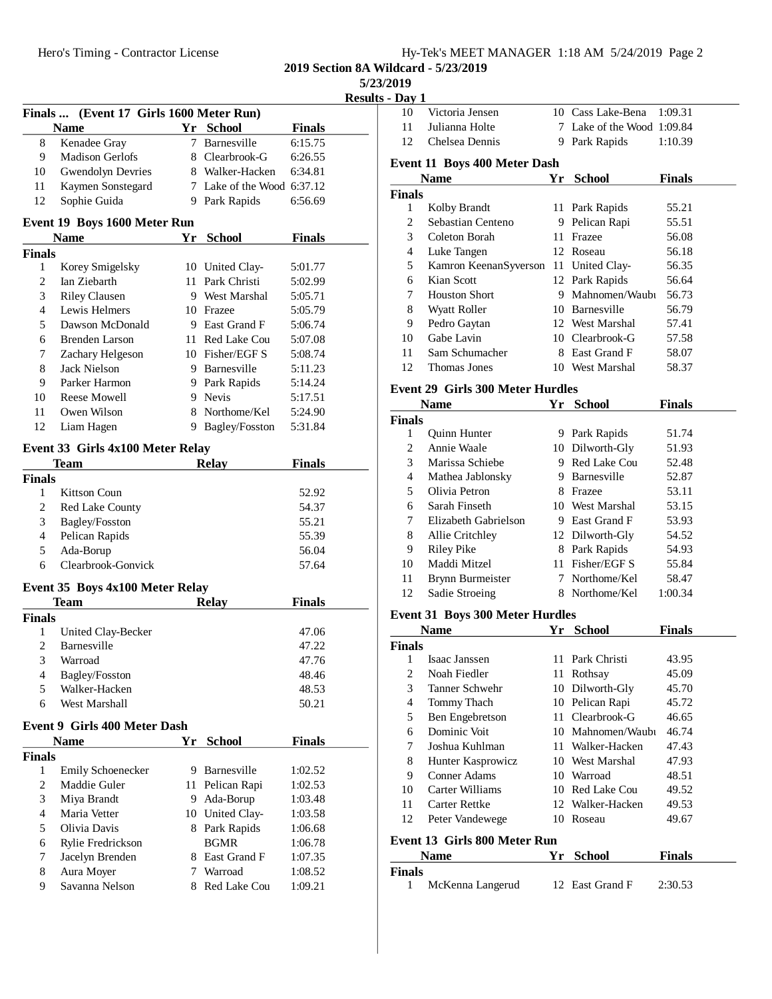|  |  |  |  | Hy-Tek's MEET MANAGER 1:18 AM 5/24/2019 Page 2 |  |  |  |
|--|--|--|--|------------------------------------------------|--|--|--|
|--|--|--|--|------------------------------------------------|--|--|--|

**2019 Section 8A Wildcard - 5/23/2019**

**Results - Day 1**

|                          |                                                |      |                            |               | resu |
|--------------------------|------------------------------------------------|------|----------------------------|---------------|------|
| Finals                   | (Event 17 Girls 1600 Meter Run)                |      |                            |               |      |
|                          | <b>Name</b>                                    |      | Yr School                  | <b>Finals</b> |      |
| 8                        | Kenadee Gray                                   | 7    | Barnesville                | 6:15.75       |      |
| 9                        | <b>Madison Gerlofs</b>                         |      | 8 Clearbrook-G             | 6:26.55       |      |
| 10                       | <b>Gwendolyn Devries</b>                       |      | 8 Walker-Hacken            | 6:34.81       |      |
| 11                       | Kaymen Sonstegard                              |      | 7 Lake of the Wood 6:37.12 |               |      |
| 12                       | Sophie Guida                                   |      | 9 Park Rapids              | 6:56.69       |      |
|                          | Event 19 Boys 1600 Meter Run                   |      |                            |               |      |
|                          | <b>Name</b>                                    | Yr   | <b>School</b>              | <b>Finals</b> |      |
| <b>Finals</b>            |                                                |      |                            |               |      |
| 1                        | Korey Smigelsky                                |      | 10 United Clay-            | 5:01.77       |      |
| $\overline{c}$           | Ian Ziebarth                                   |      | 11 Park Christi            | 5:02.99       |      |
| 3                        | <b>Riley Clausen</b>                           |      | 9 West Marshal             | 5:05.71       |      |
| $\overline{4}$           | Lewis Helmers                                  |      | 10 Frazee                  | 5:05.79       |      |
| 5                        | Dawson McDonald                                |      | 9 East Grand F             | 5:06.74       |      |
| 6                        | <b>Brenden Larson</b>                          |      | 11 Red Lake Cou            | 5:07.08       |      |
| 7                        | Zachary Helgeson                               |      | 10 Fisher/EGF S            | 5:08.74       |      |
| 8                        | Jack Nielson                                   |      | 9 Barnesville              | 5:11.23       |      |
| 9                        | Parker Harmon                                  |      | 9 Park Rapids              | 5:14.24       |      |
| 10                       | Reese Mowell                                   |      | 9 Nevis                    | 5:17.51       |      |
| 11                       | Owen Wilson                                    |      | 8 Northome/Kel             | 5:24.90       |      |
| 12                       | Liam Hagen                                     | 9    | Bagley/Fosston             | 5:31.84       |      |
|                          | Event 33 Girls 4x100 Meter Relay               |      |                            |               |      |
|                          | Team                                           |      | <b>Relay</b>               | <b>Finals</b> |      |
| <b>Finals</b>            |                                                |      |                            |               |      |
| 1                        | Kittson Coun                                   |      |                            | 52.92         |      |
| 2                        | Red Lake County                                |      |                            | 54.37         |      |
| 3                        | Bagley/Fosston                                 |      |                            | 55.21         |      |
| $\overline{\mathcal{L}}$ | Pelican Rapids                                 |      |                            | 55.39         |      |
| 5                        | Ada-Borup                                      |      |                            | 56.04         |      |
| 6                        | Clearbrook-Gonvick                             |      |                            | 57.64         |      |
|                          |                                                |      |                            |               |      |
|                          | Event 35 Boys 4x100 Meter Relay<br><b>Team</b> |      | <b>Relay</b>               | <b>Finals</b> |      |
| <b>Finals</b>            |                                                |      |                            |               |      |
| 1                        | United Clay-Becker                             |      |                            | 47.06         |      |
| 2                        | Barnesville                                    |      |                            | 47.22         |      |
| 3                        | Warroad                                        |      |                            | 47.76         |      |
| 4                        | Bagley/Fosston                                 |      |                            | 48.46         |      |
| 5                        | Walker-Hacken                                  |      |                            | 48.53         |      |
| 6                        | West Marshall                                  |      |                            | 50.21         |      |
|                          |                                                |      |                            |               |      |
|                          | <b>Event 9 Girls 400 Meter Dash</b>            |      |                            |               |      |
|                          | <b>Name</b>                                    | Yr   | School                     | <b>Finals</b> |      |
| <b>Finals</b>            |                                                |      | 9 Barnesville              |               |      |
| 1                        | <b>Emily Schoenecker</b><br>Maddie Guler       |      |                            | 1:02.52       |      |
| $\mathfrak{2}$           |                                                | 11 - | Pelican Rapi               | 1:02.53       |      |
| 3                        | Miya Brandt                                    |      | 9 Ada-Borup                | 1:03.48       |      |
| 4                        | Maria Vetter                                   |      | 10 United Clay-            | 1:03.58       |      |
| 5                        | Olivia Davis                                   |      | 8 Park Rapids              | 1:06.68       |      |
| 6                        | Rylie Fredrickson                              |      | <b>BGMR</b>                | 1:06.78       |      |
| 7                        | Jacelyn Brenden                                |      | 8 East Grand F             | 1:07.35       |      |
| 8                        | Aura Moyer                                     |      | 7 Warroad                  | 1:08.52       |      |
| 9                        | Savanna Nelson                                 |      | 8 Red Lake Cou             | 1:09.21       |      |

|                          | Day 1                                       |    |                                    |                |
|--------------------------|---------------------------------------------|----|------------------------------------|----------------|
| 10                       | Victoria Jensen                             |    | 10 Cass Lake-Bena                  | 1:09.31        |
| 11                       | Julianna Holte                              |    | 7 Lake of the Wood 1:09.84         |                |
| 12                       | Chelsea Dennis                              |    | 9 Park Rapids                      | 1:10.39        |
|                          |                                             |    |                                    |                |
|                          | Event 11 Boys 400 Meter Dash<br><b>Name</b> |    |                                    |                |
|                          |                                             |    | Yr School                          | <b>Finals</b>  |
| Finals<br>1              |                                             |    |                                    | 55.21          |
| $\mathfrak{2}$           | Kolby Brandt<br>Sebastian Centeno           |    | 11 Park Rapids<br>9 Pelican Rapi   |                |
| 3                        | Coleton Borah                               |    | Frazee                             | 55.51          |
|                          |                                             | 11 |                                    | 56.08          |
| $\overline{4}$<br>5      | Luke Tangen                                 |    | 12 Roseau                          | 56.18          |
| 6                        | Kamron KeenanSyverson<br>Kian Scott         |    | 11 United Clay-                    | 56.35<br>56.64 |
| 7                        | <b>Houston Short</b>                        |    | 12 Park Rapids<br>9 Mahnomen/Waubi |                |
| $\,8\,$                  |                                             |    | 10 Barnesville                     | 56.73<br>56.79 |
|                          | Wyatt Roller                                |    | 12 West Marshal                    |                |
| 9                        | Pedro Gaytan                                |    |                                    | 57.41          |
| 10                       | Gabe Lavin                                  |    | 10 Clearbrook-G                    | 57.58          |
| 11                       | Sam Schumacher                              |    | 8 East Grand F                     | 58.07          |
| 12                       | Thomas Jones                                |    | 10 West Marshal                    | 58.37          |
|                          | <b>Event 29 Girls 300 Meter Hurdles</b>     |    |                                    |                |
|                          | <b>Name</b>                                 |    | Yr School                          | <b>Finals</b>  |
| Finals                   |                                             |    |                                    |                |
| 1                        | Quinn Hunter                                |    | 9 Park Rapids                      | 51.74          |
| $\mathfrak{2}$           | Annie Waale                                 |    | 10 Dilworth-Gly                    | 51.93          |
| 3                        | Marissa Schiebe                             |    | 9 Red Lake Cou                     | 52.48          |
| $\overline{4}$           | Mathea Jablonsky                            |    | 9 Barnesville                      | 52.87          |
| 5                        | Olivia Petron                               |    | 8 Frazee                           | 53.11          |
| 6                        | Sarah Finseth                               |    | 10 West Marshal                    | 53.15          |
| 7                        | Elizabeth Gabrielson                        |    | 9 East Grand F                     | 53.93          |
| $\,8\,$                  | Allie Critchley                             |    | 12 Dilworth-Gly                    | 54.52          |
| 9                        | <b>Riley Pike</b>                           |    | 8 Park Rapids                      | 54.93          |
| 10                       | Maddi Mitzel                                |    | 11 Fisher/EGF S                    | 55.84          |
| 11                       | Brynn Burmeister                            |    | 7 Northome/Kel                     | 58.47          |
| 12                       | Sadie Stroeing                              |    | 8 Northome/Kel                     | 1:00.34        |
|                          |                                             |    |                                    |                |
|                          |                                             |    |                                    |                |
|                          | <b>Event 31 Boys 300 Meter Hurdles</b>      |    |                                    |                |
|                          | <b>Name</b>                                 |    | Yr School                          | <b>Finals</b>  |
|                          | Isaac Janssen                               |    |                                    |                |
| T                        | Noah Fiedler                                | 11 | Park Christi                       | 43.95          |
| $\overline{c}$           | Tanner Schwehr                              |    | 11 Rothsay                         | 45.09          |
| 3                        |                                             |    | 10 Dilworth-Gly                    | 45.70          |
| $\overline{\mathcal{L}}$ | Tommy Thach                                 |    | 10 Pelican Rapi                    | 45.72          |
| 5                        | Ben Engebretson                             |    | 11 Clearbrook-G                    | 46.65          |
| 6                        | Dominic Voit                                |    | 10 Mahnomen/Waubi                  | 46.74          |
| 7                        | Joshua Kuhlman                              |    | 11 Walker-Hacken                   | 47.43          |
| 8                        | Hunter Kasprowicz                           |    | 10 West Marshal                    | 47.93          |
| 9                        | <b>Conner Adams</b>                         |    | 10 Warroad                         | 48.51          |
| 10                       | Carter Williams                             |    | 10 Red Lake Cou                    | 49.52          |
| 11                       | Carter Rettke                               | 12 | Walker-Hacken                      | 49.53          |
| 12                       | Peter Vandewege                             |    | 10 Roseau                          | 49.67          |
|                          | Event 13 Girls 800 Meter Run                |    |                                    |                |
|                          | <b>Name</b>                                 | Yr | <b>School</b>                      | <b>Finals</b>  |
| Finals<br>Finals<br>1    | McKenna Langerud                            |    | 12 East Grand F                    | 2:30.53        |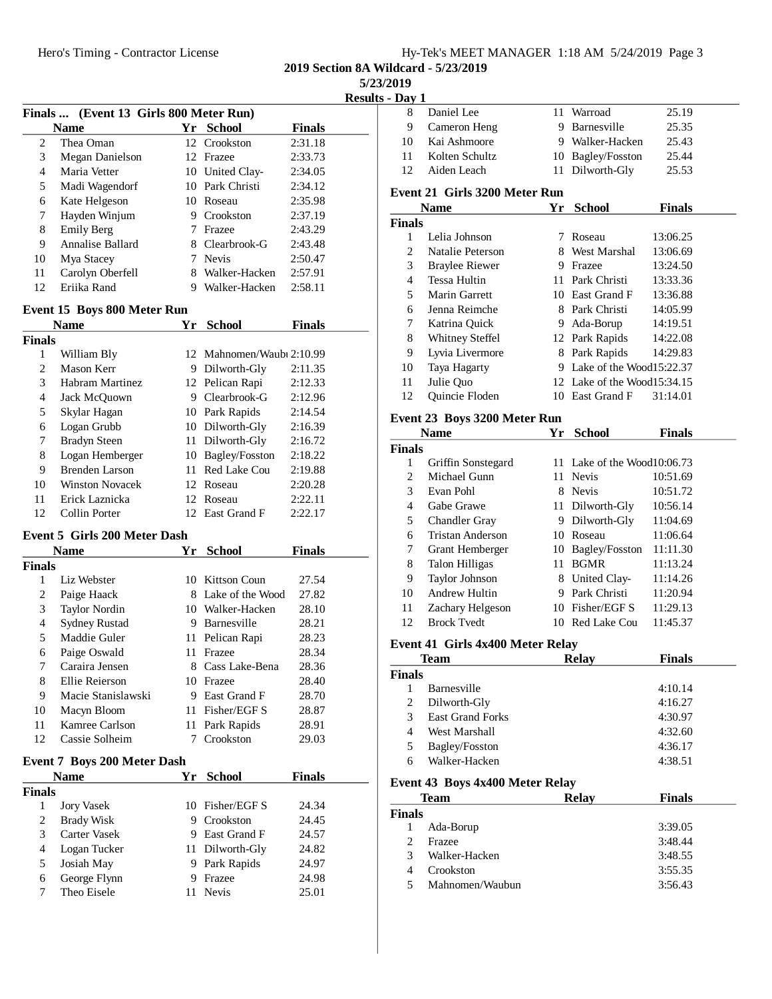**2019 Section 8A Wildcard - 5/23/2019**

**5/23/2019**

**Results** -

|               | Finals  (Event 13 Girls 800 Meter Run)             |    |                           |                |  |  |  |  |
|---------------|----------------------------------------------------|----|---------------------------|----------------|--|--|--|--|
|               | <b>Name</b>                                        |    | Yr School                 | <b>Finals</b>  |  |  |  |  |
| 2             | Thea Oman                                          |    | 12 Crookston              | 2:31.18        |  |  |  |  |
| 3             | <b>Megan Danielson</b>                             |    | 12 Frazee                 | 2:33.73        |  |  |  |  |
| 4             | Maria Vetter                                       |    | 10 United Clay-           | 2:34.05        |  |  |  |  |
| 5             | Madi Wagendorf                                     |    | 10 Park Christi           | 2:34.12        |  |  |  |  |
| 6             | Kate Helgeson                                      |    | 10 Roseau                 | 2:35.98        |  |  |  |  |
| 7             | Hayden Winjum                                      |    | 9 Crookston               | 2:37.19        |  |  |  |  |
| 8             | <b>Emily Berg</b>                                  |    | 7 Frazee                  | 2:43.29        |  |  |  |  |
| 9             | Annalise Ballard                                   |    | 8 Clearbrook-G            | 2:43.48        |  |  |  |  |
| 10            | Mya Stacey                                         |    | 7 Nevis                   | 2:50.47        |  |  |  |  |
| 11            | Carolyn Oberfell                                   |    | 8 Walker-Hacken           | 2:57.91        |  |  |  |  |
| 12            | Eriika Rand                                        |    | 9 Walker-Hacken           | 2:58.11        |  |  |  |  |
|               | Event 15 Boys 800 Meter Run                        |    |                           |                |  |  |  |  |
|               | <b>Name</b>                                        |    | Yr School                 | <b>Finals</b>  |  |  |  |  |
| <b>Finals</b> |                                                    |    |                           |                |  |  |  |  |
| 1             | William Bly                                        |    | 12 Mahnomen/Waubi 2:10.99 |                |  |  |  |  |
| 2             | Mason Kerr                                         |    | 9 Dilworth-Gly            | 2:11.35        |  |  |  |  |
| 3             | <b>Habram Martinez</b>                             |    | 12 Pelican Rapi           | 2:12.33        |  |  |  |  |
| 4             | Jack McOuown                                       |    | 9 Clearbrook-G            | 2:12.96        |  |  |  |  |
| 5             | Skylar Hagan                                       |    | 10 Park Rapids            | 2:14.54        |  |  |  |  |
| 6             | Logan Grubb                                        |    | 10 Dilworth-Gly           | 2:16.39        |  |  |  |  |
| 7             | Bradyn Steen                                       |    | 11 Dilworth-Gly           | 2:16.72        |  |  |  |  |
| 8             | Logan Hemberger                                    |    | 10 Bagley/Fosston         | 2:18.22        |  |  |  |  |
| 9             | <b>Brenden Larson</b>                              |    | 11 Red Lake Cou           | 2:19.88        |  |  |  |  |
| 10            | <b>Winston Novacek</b>                             |    | 12 Roseau                 | 2:20.28        |  |  |  |  |
| 11            | Erick Laznicka                                     |    | 12 Roseau                 | 2:22.11        |  |  |  |  |
| 12            | Collin Porter                                      |    | 12 East Grand F           | 2:22.17        |  |  |  |  |
|               |                                                    |    |                           |                |  |  |  |  |
|               | <b>Event 5 Girls 200 Meter Dash</b><br><b>Name</b> |    | Yr School                 | <b>Finals</b>  |  |  |  |  |
| <b>Finals</b> |                                                    |    |                           |                |  |  |  |  |
| 1             | Liz Webster                                        |    | 10 Kittson Coun           | 27.54          |  |  |  |  |
| 2             | Paige Haack                                        |    | 8 Lake of the Wood        | 27.82          |  |  |  |  |
| 3             | Taylor Nordin                                      |    | 10 Walker-Hacken          | 28.10          |  |  |  |  |
| 4             | <b>Sydney Rustad</b>                               |    | 9 Barnesville             | 28.21          |  |  |  |  |
| 5             | Maddie Guler                                       |    | 11 Pelican Rapi           | 28.23          |  |  |  |  |
| 6             | Paige Oswald                                       |    | 11 Frazee                 | 28.34          |  |  |  |  |
| $7^{\circ}$   | Caraira Jensen                                     |    | 8 Cass Lake-Bena          | 28.36          |  |  |  |  |
| 8             | Ellie Reierson                                     |    | 10 Frazee                 | 28.40          |  |  |  |  |
| 9             | Macie Stanislawski                                 |    | 9 East Grand F            | 28.70          |  |  |  |  |
| 10            | Macyn Bloom                                        |    | 11 Fisher/EGF S           | 28.87          |  |  |  |  |
| 11            | Kamree Carlson                                     | 11 | Park Rapids               | 28.91          |  |  |  |  |
| 12            | Cassie Solheim                                     | 7  | Crookston                 | 29.03          |  |  |  |  |
|               |                                                    |    |                           |                |  |  |  |  |
|               | <b>Event 7 Boys 200 Meter Dash</b>                 |    |                           |                |  |  |  |  |
|               | <b>Name</b>                                        | Yr | <b>School</b>             | <b>Finals</b>  |  |  |  |  |
| <b>Finals</b> |                                                    |    |                           |                |  |  |  |  |
| 1             | <b>Jory Vasek</b>                                  |    | 10 Fisher/EGF S           | 24.34          |  |  |  |  |
| 2             | <b>Brady Wisk</b>                                  |    | 9 Crookston               | 24.45          |  |  |  |  |
| 3             | <b>Carter Vasek</b>                                |    | 9 East Grand F            | 24.57          |  |  |  |  |
| 4             | Logan Tucker                                       |    | 11 Dilworth-Gly           | 24.82          |  |  |  |  |
| 5<br>6        | Josiah May<br>George Flynn                         |    | 9 Park Rapids<br>9 Frazee | 24.97          |  |  |  |  |
| 7             | Theo Eisele                                        | 11 | Nevis                     | 24.98<br>25.01 |  |  |  |  |
|               |                                                    |    |                           |                |  |  |  |  |

| Day 1          |                                           |    |                             |                      |  |
|----------------|-------------------------------------------|----|-----------------------------|----------------------|--|
| 8              | Daniel Lee                                |    | 11 Warroad                  | 25.19                |  |
| 9              | Cameron Heng                              |    | 9 Barnesville               | 25.35                |  |
| 10             | Kai Ashmoore                              |    | 9 Walker-Hacken             | 25.43                |  |
| 11             | Kolten Schultz                            |    | 10 Bagley/Fosston           | 25.44                |  |
| 12             | Aiden Leach                               | 11 | Dilworth-Gly                | 25.53                |  |
|                | Event 21 Girls 3200 Meter Run             |    |                             |                      |  |
|                |                                           |    |                             |                      |  |
|                | <b>Name</b>                               | Yr | <b>School</b>               | <b>Finals</b>        |  |
| Finals<br>1    | Lelia Johnson                             |    |                             |                      |  |
| $\overline{c}$ |                                           |    | 7 Roseau                    | 13:06.25<br>13:06.69 |  |
| 3              | Natalie Peterson<br><b>Braylee Riewer</b> |    | 8 West Marshal<br>9 Frazee  | 13:24.50             |  |
| $\overline{4}$ | Tessa Hultin                              |    | 11 Park Christi             | 13:33.36             |  |
| 5              | Marin Garrett                             |    | 10 East Grand F             | 13:36.88             |  |
| 6              | Jenna Reimche                             |    | 8 Park Christi              | 14:05.99             |  |
| 7              | Katrina Quick                             |    | 9 Ada-Borup                 | 14:19.51             |  |
| 8              | Whitney Steffel                           |    | 12 Park Rapids              | 14:22.08             |  |
| 9              | Lyvia Livermore                           |    | 8 Park Rapids               | 14:29.83             |  |
| 10             | Taya Hagarty                              |    | 9 Lake of the Wood15:22.37  |                      |  |
| 11             | Julie Quo                                 |    | 12 Lake of the Wood15:34.15 |                      |  |
| 12             | Quincie Floden                            |    | 10 East Grand F             | 31:14.01             |  |
|                |                                           |    |                             |                      |  |
|                | Event 23 Boys 3200 Meter Run              |    |                             |                      |  |
|                | <b>Name</b>                               |    | Yr School                   | <b>Finals</b>        |  |
| Finals         |                                           |    |                             |                      |  |
| 1              | Griffin Sonstegard                        |    | 11 Lake of the Wood10:06.73 |                      |  |
| $\overline{c}$ | Michael Gunn                              |    | 11 Nevis                    | 10:51.69             |  |
| 3              | Evan Pohl                                 |    | 8 Nevis                     | 10:51.72             |  |
| 4              | Gabe Grawe                                |    | 11 Dilworth-Gly             | 10:56.14             |  |
| 5              | <b>Chandler Gray</b>                      |    | 9 Dilworth-Gly              | 11:04.69             |  |
| 6              | <b>Tristan Anderson</b>                   |    | 10 Roseau                   | 11:06.64             |  |
| 7              | Grant Hemberger                           |    | 10 Bagley/Fosston           | 11:11.30             |  |
| 8              | <b>Talon Hilligas</b>                     |    | 11 BGMR                     | 11:13.24             |  |
| 9              | Taylor Johnson                            |    | 8 United Clay-              | 11:14.26             |  |
| 10             | <b>Andrew Hultin</b>                      |    | 9 Park Christi              | 11:20.94             |  |
| 11             | Zachary Helgeson                          |    | 10 Fisher/EGF S             | 11:29.13             |  |
| 12             | <b>Brock Tvedt</b>                        |    | 10 Red Lake Cou             | 11:45.37             |  |
|                | Event 41 Girls 4x400 Meter Relay          |    |                             |                      |  |
|                | Team                                      |    | Relay                       | <b>Finals</b>        |  |
| Finals         |                                           |    |                             |                      |  |
| 1              | Barnesville                               |    |                             | 4:10.14              |  |
| $\overline{c}$ | Dilworth-Gly                              |    |                             | 4:16.27              |  |
| 3              | <b>East Grand Forks</b>                   |    |                             | 4:30.97              |  |
| $\overline{4}$ | West Marshall                             |    |                             | 4:32.60              |  |
| 5              | Bagley/Fosston                            |    |                             | 4:36.17              |  |
| 6              | Walker-Hacken                             |    |                             | 4:38.51              |  |
|                |                                           |    |                             |                      |  |
|                | Event 43 Boys 4x400 Meter Relay           |    |                             |                      |  |
|                | <b>Team</b>                               |    | <b>Relay</b>                | <b>Finals</b>        |  |
| Finals         |                                           |    |                             |                      |  |
| 1              | Ada-Borup                                 |    |                             | 3:39.05              |  |
| $\mathfrak{2}$ | Frazee                                    |    |                             | 3:48.44              |  |
| 3              | Walker-Hacken                             |    |                             | 3:48.55              |  |
| $\overline{4}$ | Crookston                                 |    |                             | 3:55.35              |  |
| 5              | Mahnomen/Waubun                           |    |                             | 3:56.43              |  |
|                |                                           |    |                             |                      |  |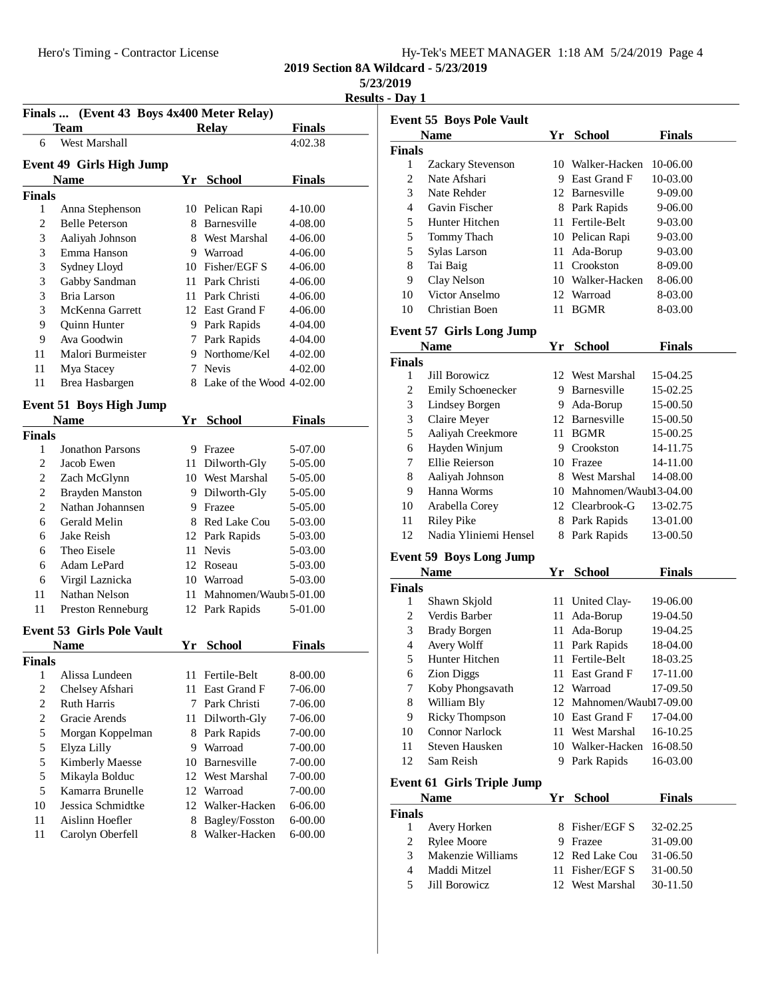| Hy-Tek's MEET MANAGER 1:18 AM 5/24/2019 Page 4 |  |  |
|------------------------------------------------|--|--|
|                                                |  |  |

**2019 Section 8A Wildcard - 5/23/2019**

**5/23/2019**

**Results - Day 1**

| Finals  (Event 43 Boys 4x400 Meter Relay) |                                  |             |                            |               |  |
|-------------------------------------------|----------------------------------|-------------|----------------------------|---------------|--|
|                                           | <b>Team</b>                      |             | <b>Relay</b>               | <b>Finals</b> |  |
| 6                                         | West Marshall                    |             |                            | 4:02.38       |  |
|                                           | <b>Event 49 Girls High Jump</b>  |             |                            |               |  |
|                                           | <b>Name</b>                      |             | Yr School                  | Finals        |  |
| <b>Finals</b>                             |                                  |             |                            |               |  |
| 1                                         | Anna Stephenson                  |             | 10 Pelican Rapi            | 4-10.00       |  |
| 2                                         | <b>Belle Peterson</b>            |             | 8 Barnesville              | 4-08.00       |  |
| 3                                         | Aaliyah Johnson                  |             | 8 West Marshal             | 4-06.00       |  |
| 3                                         | Emma Hanson                      |             | 9 Warroad                  | 4-06.00       |  |
| 3                                         | Sydney Lloyd                     |             | 10 Fisher/EGF S            | 4-06.00       |  |
| 3                                         | Gabby Sandman                    |             | 11 Park Christi            | 4-06.00       |  |
| 3                                         | Bria Larson                      |             | 11 Park Christi            | 4-06.00       |  |
| 3                                         | McKenna Garrett                  |             | 12 East Grand F            | 4-06.00       |  |
| 9                                         | Quinn Hunter                     |             | 9 Park Rapids              | 4-04.00       |  |
| 9                                         | Ava Goodwin                      | $7^{\circ}$ | Park Rapids                | 4-04.00       |  |
| 11                                        | Malori Burmeister                |             | 9 Northome/Kel             | 4-02.00       |  |
| 11                                        | Mya Stacey                       |             | 7 Nevis                    | 4-02.00       |  |
| 11                                        | Brea Hasbargen                   |             | 8 Lake of the Wood 4-02.00 |               |  |
|                                           | <b>Event 51 Boys High Jump</b>   |             |                            |               |  |
|                                           | Name                             |             | Yr School                  | Finals        |  |
| <b>Finals</b>                             |                                  |             |                            |               |  |
| 1                                         | <b>Jonathon Parsons</b>          |             | 9 Frazee                   | 5-07.00       |  |
| 2                                         | Jacob Ewen                       |             | 11 Dilworth-Gly            | 5-05.00       |  |
| 2                                         | Zach McGlynn                     |             | 10 West Marshal            | 5-05.00       |  |
| $\overline{c}$                            | <b>Brayden Manston</b>           |             | 9 Dilworth-Gly             | 5-05.00       |  |
| $\overline{c}$                            | Nathan Johannsen                 |             | 9 Frazee                   | 5-05.00       |  |
| 6                                         | Gerald Melin                     |             | 8 Red Lake Cou             | 5-03.00       |  |
| 6                                         | Jake Reish                       |             | 12 Park Rapids             | 5-03.00       |  |
| 6                                         | Theo Eisele                      |             | 11 Nevis                   | 5-03.00       |  |
| 6                                         | Adam LePard                      |             | 12 Roseau                  | 5-03.00       |  |
| 6                                         | Virgil Laznicka                  |             | 10 Warroad                 | 5-03.00       |  |
| 11                                        | Nathan Nelson                    |             | 11 Mahnomen/Waubi 5-01.00  |               |  |
| 11                                        | Preston Renneburg                |             | 12 Park Rapids             | 5-01.00       |  |
|                                           | <b>Event 53 Girls Pole Vault</b> |             |                            |               |  |
|                                           | Name                             |             | Yr School                  | Finals        |  |
| <b>Finals</b>                             |                                  |             |                            |               |  |
|                                           | 1 Alissa Lundeen                 |             | 11 Fertile-Belt            | 8-00.00       |  |
| 2                                         | Chelsey Afshari                  |             | 11 East Grand F            | 7-06.00       |  |
| $\sqrt{2}$                                | <b>Ruth Harris</b>               | 7           | Park Christi               | 7-06.00       |  |
| $\mathfrak{2}$                            | Gracie Arends                    | 11          | Dilworth-Gly               | 7-06.00       |  |
| 5                                         | Morgan Koppelman                 | 8           | Park Rapids                | 7-00.00       |  |
| 5                                         | Elyza Lilly                      | 9.          | Warroad                    | 7-00.00       |  |
| 5                                         | <b>Kimberly Maesse</b>           | 10          | Barnesville                | 7-00.00       |  |
| 5                                         | Mikayla Bolduc                   | 12          | West Marshal               | 7-00.00       |  |
| 5                                         | Kamarra Brunelle                 | 12          | Warroad                    | 7-00.00       |  |
| 10                                        | Jessica Schmidtke                | 12          | Walker-Hacken              | 6-06.00       |  |
| 11                                        | Aislinn Hoefler                  | 8           | Bagley/Fosston             | $6 - 00.00$   |  |
| 11                                        | Carolyn Oberfell                 | 8.          | Walker-Hacken              | $6 - 00.00$   |  |
|                                           |                                  |             |                            |               |  |

| <b>Event 55 Boys Pole Vault</b> |                                 |    |                           |               |  |
|---------------------------------|---------------------------------|----|---------------------------|---------------|--|
|                                 | <b>Name</b>                     | Yr | <b>School</b>             | <b>Finals</b> |  |
| Finals                          |                                 |    |                           |               |  |
| 1                               | Zackary Stevenson               |    | 10 Walker-Hacken          | 10-06.00      |  |
| $\overline{2}$                  | Nate Afshari                    |    | 9 East Grand F            | 10-03.00      |  |
| 3                               | Nate Rehder                     |    | 12 Barnesville            | 9-09.00       |  |
| 4                               | Gavin Fischer                   |    | 8 Park Rapids             | 9-06.00       |  |
| 5                               | Hunter Hitchen                  |    | 11 Fertile-Belt           | 9-03.00       |  |
| 5                               | Tommy Thach                     |    | 10 Pelican Rapi           | 9-03.00       |  |
| 5                               | Sylas Larson                    |    | 11 Ada-Borup              | 9-03.00       |  |
| 8                               | Tai Baig                        |    | 11 Crookston              | 8-09.00       |  |
| 9                               | Clay Nelson                     |    | 10 Walker-Hacken          | 8-06.00       |  |
| 10                              | <b>Victor Anselmo</b>           | 12 | Warroad                   | 8-03.00       |  |
| 10                              | Christian Boen                  | 11 | <b>BGMR</b>               | 8-03.00       |  |
|                                 |                                 |    |                           |               |  |
|                                 | <b>Event 57 Girls Long Jump</b> |    |                           |               |  |
|                                 | <b>Name</b>                     | Yr | <b>School</b>             | <b>Finals</b> |  |
| <b>Finals</b><br>1              | Jill Borowicz                   |    | 12 West Marshal           | 15-04.25      |  |
|                                 |                                 |    |                           |               |  |
| $\mathfrak{2}$                  | <b>Emily Schoenecker</b>        |    | 9 Barnesville             | 15-02.25      |  |
| 3                               | Lindsey Borgen                  |    | 9 Ada-Borup               | 15-00.50      |  |
| 3                               | Claire Meyer                    |    | 12 Barnesville            | 15-00.50      |  |
| 5                               | Aaliyah Creekmore               |    | 11 BGMR                   | 15-00.25      |  |
| 6                               | Hayden Winjum                   |    | 9 Crookston               | 14-11.75      |  |
| 7                               | Ellie Reierson                  |    | 10 Frazee                 | 14-11.00      |  |
| 8                               | Aaliyah Johnson                 |    | 8 West Marshal            | 14-08.00      |  |
| 9                               | Hanna Worms                     |    | 10 Mahnomen/Waubl 3-04.00 |               |  |
| 10                              | Arabella Corey                  |    | 12 Clearbrook-G           | 13-02.75      |  |
| 11                              | <b>Riley Pike</b>               |    | 8 Park Rapids             | 13-01.00      |  |
| 12                              | Nadia Yliniemi Hensel           | 8  | Park Rapids               | 13-00.50      |  |
|                                 | <b>Event 59 Boys Long Jump</b>  |    |                           |               |  |
|                                 | <b>Name</b>                     | Yr | <b>School</b>             | <b>Finals</b> |  |
| Finals                          |                                 |    |                           |               |  |
| 1                               | Shawn Skjold                    |    | 11 United Clay-           | 19-06.00      |  |
| $\mathfrak{2}$                  | Verdis Barber                   |    | 11 Ada-Borup              | 19-04.50      |  |
| 3                               | <b>Brady Borgen</b>             |    | 11 Ada-Borup              | 19-04.25      |  |
| 4                               | Avery Wolff                     | 11 | Park Rapids               | 18-04.00      |  |
| 5                               | Hunter Hitchen                  |    | 11 Fertile-Belt           | 18-03.25      |  |
| 6                               | <b>Zion Diggs</b>               | 11 | East Grand F              | 17-11.00      |  |
| 7                               | Koby Phongsavath                | 12 | Warroad                   | 17-09.50      |  |
| 8                               | William Bly                     |    | 12 Mahnomen/Waubl7-09.00  |               |  |
| 9                               | Ricky Thompson                  |    | 10 East Grand F           | 17-04.00      |  |
| 10                              | Connor Narlock                  |    | 11 West Marshal           | 16-10.25      |  |
| 11                              | Steven Hausken                  |    | 10 Walker-Hacken          | 16-08.50      |  |
| 12                              | Sam Reish                       |    | 9 Park Rapids             | 16-03.00      |  |
|                                 |                                 |    |                           |               |  |
|                                 | Event 61 Girls Triple Jump      |    |                           |               |  |
|                                 | <b>Name</b>                     | Yr | <b>School</b>             | <b>Finals</b> |  |
| Finals                          |                                 |    |                           |               |  |
| 1                               | Avery Horken                    |    | 8 Fisher/EGF S            | 32-02.25      |  |
| $\overline{c}$                  | <b>Rylee Moore</b>              |    | 9 Frazee                  | 31-09.00      |  |
| 3                               | Makenzie Williams               |    | 12 Red Lake Cou           | 31-06.50      |  |
| $\overline{4}$                  | Maddi Mitzel                    |    | 11 Fisher/EGF S           | 31-00.50      |  |
| 5                               | Jill Borowicz                   |    | 12 West Marshal           | 30-11.50      |  |
|                                 |                                 |    |                           |               |  |